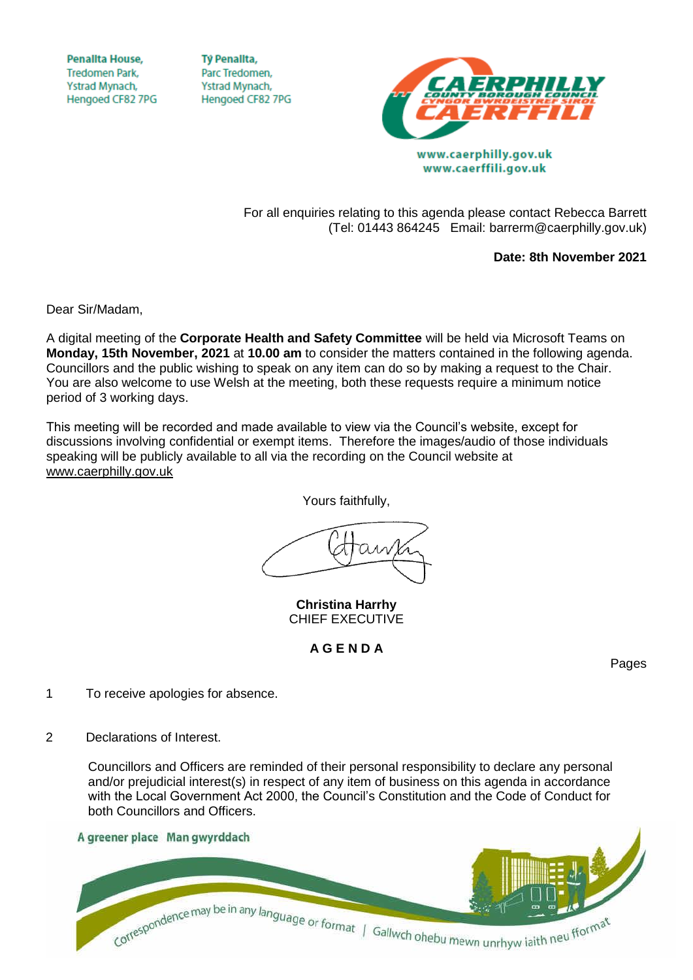**Penallta House, Tredomen Park.** Ystrad Mynach, Hengoed CF82 7PG

**TV Penallta,** Parc Tredomen. Ystrad Mynach, Hengoed CF82 7PG



www.caerphilly.gov.uk www.caerffili.gov.uk

For all enquiries relating to this agenda please contact Rebecca Barrett (Tel: 01443 864245 Email: barrerm@caerphilly.gov.uk)

**Date: 8th November 2021**

Dear Sir/Madam,

A digital meeting of the **Corporate Health and Safety Committee** will be held via Microsoft Teams on **Monday, 15th November, 2021** at **10.00 am** to consider the matters contained in the following agenda. Councillors and the public wishing to speak on any item can do so by making a request to the Chair. You are also welcome to use Welsh at the meeting, both these requests require a minimum notice period of 3 working days.

This meeting will be recorded and made available to view via the Council's website, except for discussions involving confidential or exempt items. Therefore the images/audio of those individuals speaking will be publicly available to all via the recording on the Council website at [www.caerphilly.gov.uk](http://www.caerphilly.gov.uk/)

Yours faithfully,

**Christina Harrhy** CHIEF EXECUTIVE

## **A G E N D A**

Pages

- 1 To receive apologies for absence.
- 2 Declarations of Interest.

Councillors and Officers are reminded of their personal responsibility to declare any personal and/or prejudicial interest(s) in respect of any item of business on this agenda in accordance with the Local Government Act 2000, the Council's Constitution and the Code of Conduct for both Councillors and Officers.